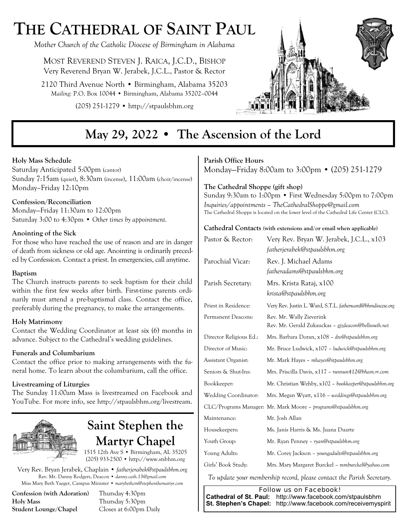# **THE CATHEDRAL OF SAINT PAUL**

*Mother Church of the Catholic Diocese of Birmingham in Alabama* 

MOST REVEREND STEVEN J. RAICA, J.C.D., BISHOP Very Reverend Bryan W. Jerabek, J.C.L., Pastor & Rector

2120 Third Avenue North • Birmingham, Alabama 35203 *Mailing:* P.O. Box 10044 • Birmingham, Alabama 35202–0044

(205) 251-1279 • http://stpaulsbhm.org



## **May 29, 2022 • The Ascension of the Lord**

### **Holy Mass Schedule**

Saturday Anticipated 5:00pm (cantor) Sunday 7:15am (quiet), 8:30am (incense), 11:00am (choir/incense) Monday–Friday 12:10pm

### **Confession/Reconciliation**

Monday—Friday 11:30am to 12:00pm Saturday 3:00 to 4:30pm • *Other times by appointment.* 

### **Anointing of the Sick**

For those who have reached the use of reason and are in danger of death from sickness or old age. Anointing is ordinarily preceded by Confession. Contact a priest. In emergencies, call anytime.

### **Baptism**

The Church instructs parents to seek baptism for their child within the first few weeks after birth. First-time parents ordinarily must attend a pre-baptismal class. Contact the office, preferably during the pregnancy, to make the arrangements.

### **Holy Matrimony**

Contact the Wedding Coordinator at least six (6) months in advance. Subject to the Cathedral's wedding guidelines.

### **Funerals and Columbarium**

Contact the office prior to making arrangements with the funeral home. To learn about the columbarium, call the office.

### **Livestreaming of Liturgies**

The Sunday 11:00am Mass is livestreamed on Facebook and YouTube. For more info, see http://stpaulsbhm.org/livestream.



## **Saint Stephen the Martyr Chapel**

1515 12th Ave S • Birmingham, AL 35205 (205) 933-2500 • http://www.stsbhm.org

Very Rev. Bryan Jerabek, Chaplain • *fatherjerabek@stpaulsbhm.org* Rev. Mr. Danny Rodgers, Deacon • *danny.cath.13@gmail.com* Miss Mary Beth Yaeger, Campus Minister • *marybethcm@stephenthemartyr.com* 

**Confession (with Adoration)** Thursday 4:30pm **Holy Mass** Thursday 5:30pm **Student Lounge/Chapel** Closes at 6:00pm Daily

## **Parish Office Hours**

Monday—Friday 8:00am to 3:00pm • (205) 251-1279

## **The Cathedral Shoppe (gift shop)**

Sunday 9:30am to 1:00pm • First Wednesday 5:00pm to 7:00pm *Inquiries/appointments – TheCathedralShoppe@gmail.com*  The Cathedral Shoppe is located on the lower level of the Cathedral Life Center (CLC).

#### **Cathedral Contacts (with extensions and/or email when applicable)**

| Pastor & Rector:        | Very Rev. Bryan W. Jerabek, J.C.L., x103<br>fatherjerabek@stpaulsbhm.org        |
|-------------------------|---------------------------------------------------------------------------------|
| Parochial Vicar:        | Rev. J. Michael Adams<br>fatheradams@stpaulsbhm.org                             |
| Parish Secretary:       | Mrs. Krista Rataj, x100<br>krista@stpaulsbhm.org                                |
| Priest in Residence:    | Very Rev. Justin L. Ward, S.T.L. fatherward@bhmdiocese.org                      |
| Permanent Deacons:      | Rev. Mr. Wally Zieverink<br>Rev. Mr. Gerald Zukauckas - gjzdeacon@bellsouth.net |
| Director Religious Ed.: | Mrs. Barbara Doran, x108 – dre@stpaulsbhm.org                                   |
| Director of Music:      | Mr. Bruce Ludwick, x107 – ludwick@stpaulsbhm.org                                |
| Assistant Organist:     | Mr. Mark Hayes - mhayes@stpaulsbhm.org                                          |
| Seniors & Shut-Ins:     | Mrs. Priscilla Davis, x117 – runnun412@bham.rr.com                              |
| Bookkeeper:             | Mr. Christian Wehby, x102 - bookkeeper@stpaulsbhm.org                           |
| Wedding Coordinator:    | Mrs. Megan Wyatt, x116 - weddings@stpaulsbhm.org                                |
|                         | CLC/Programs Manager: Mr. Mark Moore – programs@stpaulsbhm.org                  |
| Maintenance:            | Mr. Josh Allan                                                                  |
| Housekeepers:           | Ms. Janis Harris & Ms. Juana Duarte                                             |
| Youth Group:            | Mr. Ryan Penney – ryan@stpaulsbhm.org                                           |
| Young Adults:           | Mr. Corey Jackson - youngadults@stpaulsbhm.org                                  |
| Girls' Book Study:      | Mrs. Mary Margaret Burckel – mmburckel@yahoo.com                                |

*To update your membership record, please contact the Parish Secretary.* 

*Follow us on Facebook!*   **Cathedral of St. Paul:** http://www.facebook.com/stpaulsbhm  **St. Stephen's Chapel:** http://www.facebook.com/receivemyspirit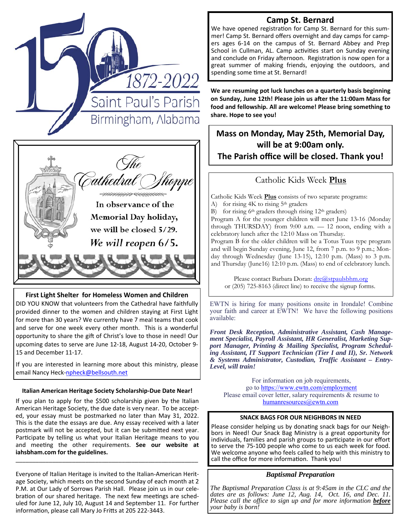



#### **First Light Shelter for Homeless Women and Children**

DID YOU KNOW that volunteers from the Cathedral have faithfully provided dinner to the women and children staying at First Light for more than 30 years? We currently have 7 meal teams that cook and serve for one week every other month. This is a wonderful opportunity to share the gift of Christ's love to those in need! Our upcoming dates to serve are June 12-18, August 14-20, October 9- 15 and December 11-17.

If you are interested in learning more about this ministry, please email Nancy Heck-npheck@bellsouth.net

#### **Italian American Heritage Society Scholarship‐Due Date Near!**

If you plan to apply for the \$500 scholarship given by the Italian American Heritage Society, the due date is very near. To be accepted, your essay must be postmarked no later than May 31, 2022. This is the date the essays are due. Any essay received with a later postmark will not be accepted, but it can be submitted next year. Participate by telling us what your Italian Heritage means to you and meeting the other requirements. See our website at **iahsbham.com for the guidelines.** 

Everyone of Italian Heritage is invited to the Italian-American Heritage Society, which meets on the second Sunday of each month at 2 P.M. at Our Lady of Sorrows Parish Hall. Please join us in our celebration of our shared heritage. The next few meetings are scheduled for June 12, July 10, August 14 and September 11. For further information, please call Mary Jo Fritts at 205 222-3443.

\_\_\_\_\_\_\_\_\_\_\_\_\_\_\_\_\_\_\_\_\_\_\_\_\_\_\_\_\_\_\_\_\_\_\_\_\_\_\_\_\_\_\_\_\_\_\_\_\_\_\_\_\_\_\_

## **Camp St. Bernard**

We have opened registration for Camp St. Bernard for this summer! Camp St. Bernard offers overnight and day camps for campers ages 6-14 on the campus of St. Bernard Abbey and Prep School in Cullman, AL. Camp activities start on Sunday evening and conclude on Friday afternoon. Registration is now open for a great summer of making friends, enjoying the outdoors, and spending some time at St. Bernard!

**We are resuming pot luck lunches on a quarterly basis beginning** on Sunday, June 12th! Please join us after the 11:00am Mass for **food and fellowship. All are welcome! Please bring something to share. Hope to see you!** 

## **Mass on Monday, May 25th, Memorial Day, will be at 9:00am only. The Parish office will be closed. Thank you!**

## Catholic Kids Week **Plus**

Catholic Kids Week **Plus** consists of two separate programs: A) for rising  $4K$  to rising  $5<sup>th</sup>$  graders B) for rising  $6<sup>th</sup>$  graders through rising  $12<sup>th</sup>$  graders) Program A for the younger children will meet June 13-16 (Monday through THURSDAY) from 9:00 a.m. — 12 noon, ending with a celebratory lunch after the 12:10 Mass on Thursday. Program B for the older children will be a Totus Tuus type program and will begin Sunday evening, June 12, from 7 p.m. to 9 p.m.; Monday through Wednesday (June 13-15), 12:10 p.m. (Mass) to 3 p.m. and Thursday (June16) 12:10 p.m. (Mass) to end of celebratory lunch.

> Please contact Barbara Doran: dre@stpaulsbhm.org or (205) 725-8163 (direct line) to receive the signup forms.

EWTN is hiring for many positions onsite in Irondale! Combine your faith and career at EWTN! We have the following positions available:

*Front Desk Reception, Administrative Assistant, Cash Management Specialist, Payroll Assistant, HR Generalist, Marketing Support Manager, Printing & Mailing Specialist, Program Scheduling Assistant, IT Support Technician (Tier I and II), Sr. Network & Systems Administrator, Custodian, Traffic Assistant – Entry-Level, will train!* 

For information on job requirements, go to https://www.ewtn.com/employment Please email cover letter, salary requirements & resume to humanresources@ewtn.com

### **SNACK BAGS FOR OUR NEIGHBORS IN NEED**

Please consider helping us by donating snack bags for our Neighbors in Need! Our Snack Bag Ministry is a great opportunity for individuals, families and parish groups to participate in our effort to serve the 75-100 people who come to us each week for food. We welcome anyone who feels called to help with this ministry to call the office for more information. Thank you!

### *Baptismal Preparation*

*The Baptismal Preparation Class is at 9:45am in the CLC and the dates are as follows: June 12, Aug. 14, Oct. 16, and Dec. 11. Please call the office to sign up and for more information before your baby is born!*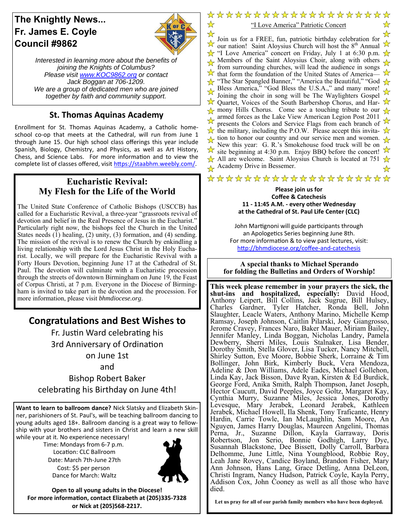## **The Knightly News... Fr. James E. Coyle Council #9862**



☆

*Interested in learning more about the benefits of joining the Knights of Columbus? Please visit www.KOC9862.org or contact Jack Boggan at 706-1209. We are a group of dedicated men who are joined together by faith and community support.*

## **St. Thomas Aquinas Academy**

Enrollment for St. Thomas Aquinas Academy, a Catholic homeschool co-op that meets at the Cathedral, will run from June 1 through June 15. Our high school class offerings this year include Spanish, Biology, Chemistry, and Physics, as well as Art History, Chess, and Science Labs. For more information and to view the complete list of classes offered, visit https://staabhm.weebly.com/.

## **Eucharistic Revival: My Flesh for the Life of the World**

The United State Conference of Catholic Bishops (USCCB) has called for a Eucharistic Revival, a three-year "grassroots revival of devotion and belief in the Real Presence of Jesus in the Eucharist." Particularly right now, the bishops feel the Church in the United States needs (1) healing, (2) unity, (3) formation, and (4) sending. The mission of the revival is to renew the Church by enkindling a living relationship with the Lord Jesus Christ in the Holy Eucharist. Locally, we will prepare for the Eucharistic Revival with a Forty Hours Devotion, beginning June 17 at the Cathedral of St. Paul. The devotion will culminate with a Eucharistic procession through the streets of downtown Birmingham on June 19, the Feast of Corpus Christi, at 7 p.m. Everyone in the Diocese of Birmingham is invited to take part in the devotion and the procession. For more information, please visit *bhmdiocese.org*.

## **CongratulaƟons and Best Wishes to**

Fr. Justin Ward celebrating his 3rd Anniversary of Ordination on June 1st

and

Bishop Robert Baker celebrating his Birthday on June 4th!

**Want to learn to ballroom dance?** Nick Slatsky and Elizabeth Skinner, parishioners of St. Paul's, will be teaching ballroom dancing to young adults aged 18+. Ballroom dancing is a great way to fellowship with your brothers and sisters in Christ and learn a new skill while your at it. No experience necessary!

Time: Mondays from 6-7 p.m. Location: CLC Ballroom Date: March 7th-June 27th Cost: \$5 per person Dance for March: Waltz



**Open to all young adults in the Diocese! For more informaƟon, contact Elizabeth at (205)335‐7328 or Nick at (205)568‐2217.** 

\*\*\*\*\*\*\*\*\*\*\*\*\*\*\*\*\*\*\* "I Love America" Patriotic Concert

 $\star$ ☆ Join us for a FREE, fun, patriotic birthday celebration for  $\lambda$  bold us for a FKEE, full, patholic bifulary celebration for  $\lambda$  our nation! Saint Aloysius Church will host the 8<sup>th</sup> Annual  $\lambda$  $\frac{1}{\sqrt{x}}$  "I Love America" concert on Friday, July 1 at 6:30 p.m.  $\frac{1}{\sqrt{x}}$ Members of the Saint Aloysius Choir, along with others  $\overrightarrow{X}$ from surrounding churches, will lead the audience in songs that form the foundation of the United States of America  $\overrightarrow{X}$  that form the foundation of the United States of America- $\frac{1}{\sqrt{2}}$  "The Star Spangled Banner," "America the Beautiful," "God  $\frac{1}{\sqrt{2}}$ Bless America," "God Bless the U.S.A.," and many more! Joining the choir in song will be The Waylighters Gospel  $\overrightarrow{\mathcal{X}}$  Quartet, Voices of the South Barbershop Chorus, and Har- $\overrightarrow{\mathcal{X}}$  $\frac{1}{\sqrt{2}}$  mony Hills Chorus. Come see a touching tribute to our  $\frac{1}{\sqrt{2}}$ armed forces as the Lake View American Legion Post 2011 presents the Colors and Service Flags from each branch of  $\frac{1}{2}$  $\overrightarrow{\mathbf{x}}$  the military, including the P.O.W. Please accept this invita- $\frac{1}{\sqrt{2}}$  tion to honor our country and our service men and women. New this year: G. R.'s Smokehouse food truck will be on Site beginning at 4:30 p.m. Enjoy BBQ before the concert! All are welcome. Saint Aloysius Church is located at 751  $\frac{1}{\sqrt{2}}$ Academy Drive in Bessemer.

## \*\*\*\*\*\*\*\*\*\*\*\*\*\*\*\*\*\*\*\*

#### **Please join us for Coffee & Catechesis 11 ‐ 11:45 A.M. ‐ every other Wednesday at the Cathedral of St. Paul Life Center (CLC)**

John Martignoni will guide participants through an Apologetics Series beginning June 8th. For more information & to view past lectures, visit: http://bhmdiocese.org/coffee-and-catechesis

**A special thanks to Michael Sperando for folding the Bulletins and Orders of Worship!** 

**This week please remember in your prayers the sick, the shut-ins and hospitalized, especially:** David Hood, Anthony Leipert, Bill Collins, Jack Sugrue, Bill Hulsey, Charles Gardner, Tyler Hatcher, Ronda Bell, John Slaughter, Leacle Waters, Anthony Marino, Michelle Kemp Ramsay, Joseph Johnson, Caitlin Pilarski, Joey Giangrosso, Jerome Cravey, Frances Naro, Baker Mauer, Miriam Bailey, Jennifer Manley, Linda Boggan, Nicholas Landry, Pamela Dewberry, Sherri Miles, Louis Stalnaker, Lisa Bender, Dorothy Smith, Stella Glover, Lisa Tucker, Nancy Mitchell, Shirley Sutton, Eve Moore, Bobbie Sherk, Lorraine & Tim Bollinger, John Birk, Kimberly Buck, Vera Mendoza, Adeline & Don Williams, Adele Eades, Michael Gollehon, Linda Kay, Jack Bisson, Dave Ryan, Kirsten & Ed Burdick, George Ford, Anika Smith, Ralph Thompson, Janet Joseph, Hector Caucutt, David Peeples, Joyce Goltz, Margaret Kay, Cynthia Murry, Suzanne Miles, Jessica Jones, Dorothy Levesque, Mary Jerabek, Leonard Jerabek, Kathleen Jerabek, Michael Howell, Ila Shenk, Tony Traficante, Henry Hardin, Carrie Towle, Ian McLaughlin, Sam Moore, An Nguyen, James Harry Douglas, Maureen Angelini, Thomas Perna, Jr., Suzanne Dillon, Kayla Garraway, Doris Robertson, Jon Serio, Bonnie Godhigh, Larry Dye, Susannah Blackstone, Dee Bissett, Dolly Carroll, Barbara Delhomme, June Little, Nina Youngblood, Robbie Roy, Leah Jane Rovey, Candice Boyland, Brandon Fisher, Mary Ann Johnson, Hans Lang, Grace Detling, Anna DeLeon, Christi Ingram, Nancy Hudson, Patrick Coyle, Kayla Perry, Addison Cox, John Cooney as well as all those who have died.

**Let us pray for all of our parish family members who have been deployed.**